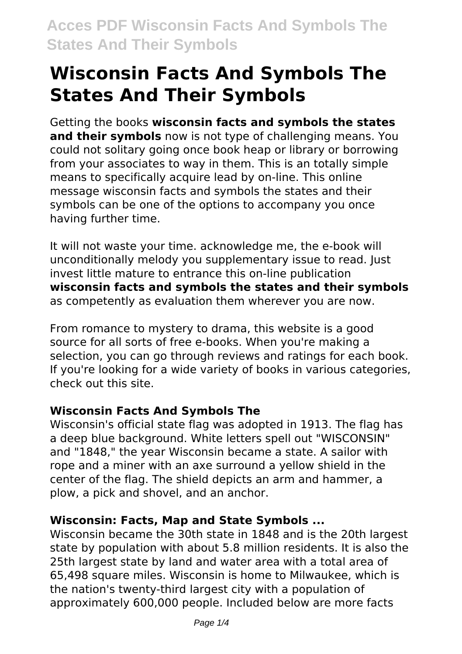# **Wisconsin Facts And Symbols The States And Their Symbols**

Getting the books **wisconsin facts and symbols the states and their symbols** now is not type of challenging means. You could not solitary going once book heap or library or borrowing from your associates to way in them. This is an totally simple means to specifically acquire lead by on-line. This online message wisconsin facts and symbols the states and their symbols can be one of the options to accompany you once having further time.

It will not waste your time. acknowledge me, the e-book will unconditionally melody you supplementary issue to read. Just invest little mature to entrance this on-line publication **wisconsin facts and symbols the states and their symbols** as competently as evaluation them wherever you are now.

From romance to mystery to drama, this website is a good source for all sorts of free e-books. When you're making a selection, you can go through reviews and ratings for each book. If you're looking for a wide variety of books in various categories, check out this site.

# **Wisconsin Facts And Symbols The**

Wisconsin's official state flag was adopted in 1913. The flag has a deep blue background. White letters spell out "WISCONSIN" and "1848," the year Wisconsin became a state. A sailor with rope and a miner with an axe surround a yellow shield in the center of the flag. The shield depicts an arm and hammer, a plow, a pick and shovel, and an anchor.

# **Wisconsin: Facts, Map and State Symbols ...**

Wisconsin became the 30th state in 1848 and is the 20th largest state by population with about 5.8 million residents. It is also the 25th largest state by land and water area with a total area of 65,498 square miles. Wisconsin is home to Milwaukee, which is the nation's twenty-third largest city with a population of approximately 600,000 people. Included below are more facts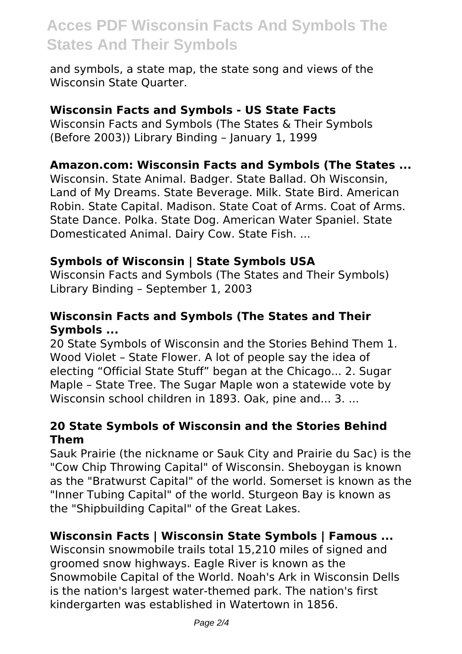# **Acces PDF Wisconsin Facts And Symbols The States And Their Symbols**

and symbols, a state map, the state song and views of the Wisconsin State Quarter.

#### **Wisconsin Facts and Symbols - US State Facts**

Wisconsin Facts and Symbols (The States & Their Symbols (Before 2003)) Library Binding – January 1, 1999

#### **Amazon.com: Wisconsin Facts and Symbols (The States ...**

Wisconsin. State Animal. Badger. State Ballad. Oh Wisconsin, Land of My Dreams. State Beverage. Milk. State Bird. American Robin. State Capital. Madison. State Coat of Arms. Coat of Arms. State Dance. Polka. State Dog. American Water Spaniel. State Domesticated Animal. Dairy Cow. State Fish. ...

#### **Symbols of Wisconsin | State Symbols USA**

Wisconsin Facts and Symbols (The States and Their Symbols) Library Binding – September 1, 2003

## **Wisconsin Facts and Symbols (The States and Their Symbols ...**

20 State Symbols of Wisconsin and the Stories Behind Them 1. Wood Violet – State Flower. A lot of people say the idea of electing "Official State Stuff" began at the Chicago... 2. Sugar Maple – State Tree. The Sugar Maple won a statewide vote by Wisconsin school children in 1893. Oak, pine and... 3. ...

#### **20 State Symbols of Wisconsin and the Stories Behind Them**

Sauk Prairie (the nickname or Sauk City and Prairie du Sac) is the "Cow Chip Throwing Capital" of Wisconsin. Sheboygan is known as the "Bratwurst Capital" of the world. Somerset is known as the "Inner Tubing Capital" of the world. Sturgeon Bay is known as the "Shipbuilding Capital" of the Great Lakes.

## **Wisconsin Facts | Wisconsin State Symbols | Famous ...**

Wisconsin snowmobile trails total 15,210 miles of signed and groomed snow highways. Eagle River is known as the Snowmobile Capital of the World. Noah's Ark in Wisconsin Dells is the nation's largest water-themed park. The nation's first kindergarten was established in Watertown in 1856.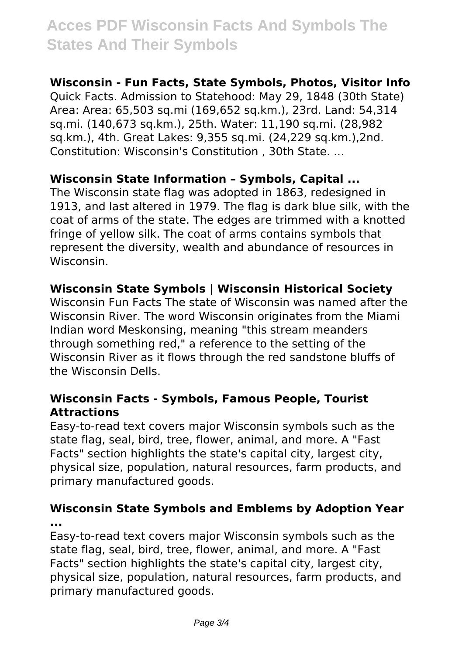# **Acces PDF Wisconsin Facts And Symbols The States And Their Symbols**

#### **Wisconsin - Fun Facts, State Symbols, Photos, Visitor Info**

Quick Facts. Admission to Statehood: May 29, 1848 (30th State) Area: Area: 65,503 sq.mi (169,652 sq.km.), 23rd. Land: 54,314 sq.mi. (140,673 sq.km.), 25th. Water: 11,190 sq.mi. (28,982 sq.km.), 4th. Great Lakes: 9,355 sq.mi. (24,229 sq.km.),2nd. Constitution: Wisconsin's Constitution , 30th State. ...

## **Wisconsin State Information – Symbols, Capital ...**

The Wisconsin state flag was adopted in 1863, redesigned in 1913, and last altered in 1979. The flag is dark blue silk, with the coat of arms of the state. The edges are trimmed with a knotted fringe of yellow silk. The coat of arms contains symbols that represent the diversity, wealth and abundance of resources in Wisconsin.

#### **Wisconsin State Symbols | Wisconsin Historical Society**

Wisconsin Fun Facts The state of Wisconsin was named after the Wisconsin River. The word Wisconsin originates from the Miami Indian word Meskonsing, meaning "this stream meanders through something red," a reference to the setting of the Wisconsin River as it flows through the red sandstone bluffs of the Wisconsin Dells.

#### **Wisconsin Facts - Symbols, Famous People, Tourist Attractions**

Easy-to-read text covers major Wisconsin symbols such as the state flag, seal, bird, tree, flower, animal, and more. A "Fast Facts" section highlights the state's capital city, largest city, physical size, population, natural resources, farm products, and primary manufactured goods.

#### **Wisconsin State Symbols and Emblems by Adoption Year ...**

Easy-to-read text covers major Wisconsin symbols such as the state flag, seal, bird, tree, flower, animal, and more. A "Fast Facts" section highlights the state's capital city, largest city, physical size, population, natural resources, farm products, and primary manufactured goods.